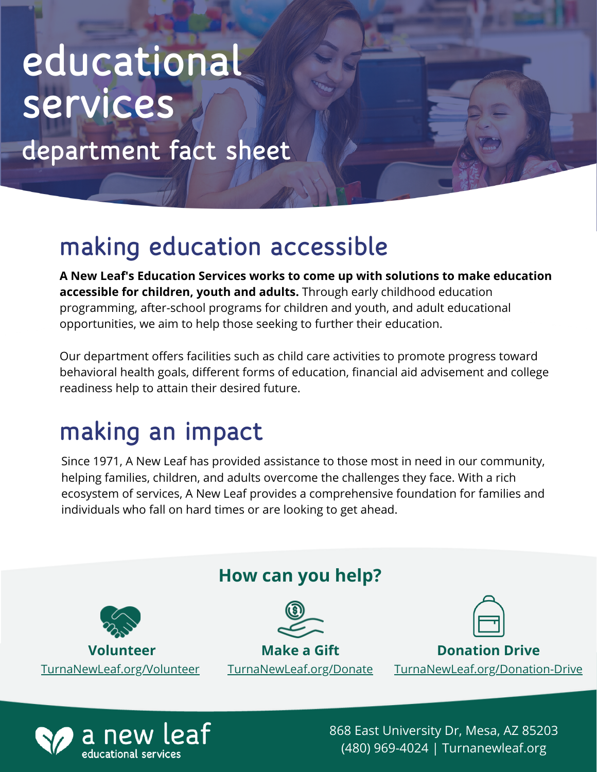## educational services

department fact sheet

## making education accessible

**A New Leaf's Education Services works to come up with solutions to make education accessible for children, youth and adults.** Through early childhood education programming, after-school programs for children and youth, and adult educational opportunities, we aim to help those seeking to further their education.

Our department offers facilities such as child care activities to promote progress toward behavioral health goals, different forms of education, financial aid advisement and college readiness help to attain their desired future.

## making an impact

Since 1971, A New Leaf has provided assistance to those most in need in our community, helping families, children, and adults overcome the challenges they face. With a rich ecosystem of services, A New Leaf provides a comprehensive foundation for families and individuals who fall on hard times or are looking to get ahead.